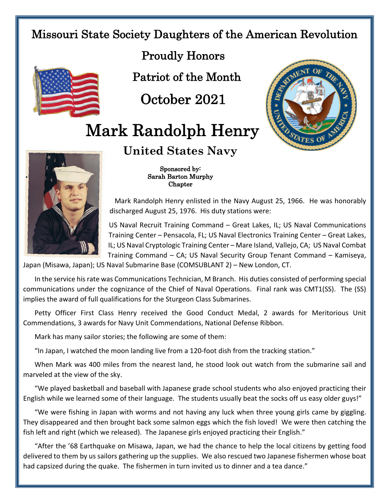## Missouri State Society Daughters of the American Revolution



Proudly Honors

Patriot of the Month

October 2021

## Mark Randolph Henry





Sponsored by:

**United States Navy**

 Sarah Barton Murphy Chapter

Mark Randolph Henry enlisted in the Navy August 25, 1966. He was honorably discharged August 25, 1976. His duty stations were:

US Naval Recruit Training Command – Great Lakes, IL; US Naval Communications Training Center – Pensacola, FL; US Naval Electronics Training Center – Great Lakes, IL; US Naval Cryptologic Training Center – Mare Island, Vallejo, CA; US Naval Combat Training Command – CA; US Naval Security Group Tenant Command – Kamiseya,

Japan (Misawa, Japan); US Naval Submarine Base (COMSUBLANT 2) – New London, CT.

In the service his rate was Communications Technician, M Branch. His duties consisted of performing special communications under the cognizance of the Chief of Naval Operations. Final rank was CMT1(SS). The (SS) implies the award of full qualifications for the Sturgeon Class Submarines.

Petty Officer First Class Henry received the Good Conduct Medal, 2 awards for Meritorious Unit Commendations, 3 awards for Navy Unit Commendations, National Defense Ribbon.

Mark has many sailor stories; the following are some of them:

"In Japan, I watched the moon landing live from a 120-foot dish from the tracking station."

When Mark was 400 miles from the nearest land, he stood look out watch from the submarine sail and marveled at the view of the sky.

"We played basketball and baseball with Japanese grade school students who also enjoyed practicing their English while we learned some of their language. The students usually beat the socks off us easy older guys!"

"We were fishing in Japan with worms and not having any luck when three young girls came by giggling. They disappeared and then brought back some salmon eggs which the fish loved! We were then catching the fish left and right (which we released). The Japanese girls enjoyed practicing their English."

"After the '68 Earthquake on Misawa, Japan, we had the chance to help the local citizens by getting food delivered to them by us sailors gathering up the supplies. We also rescued two Japanese fishermen whose boat had capsized during the quake. The fishermen in turn invited us to dinner and a tea dance."